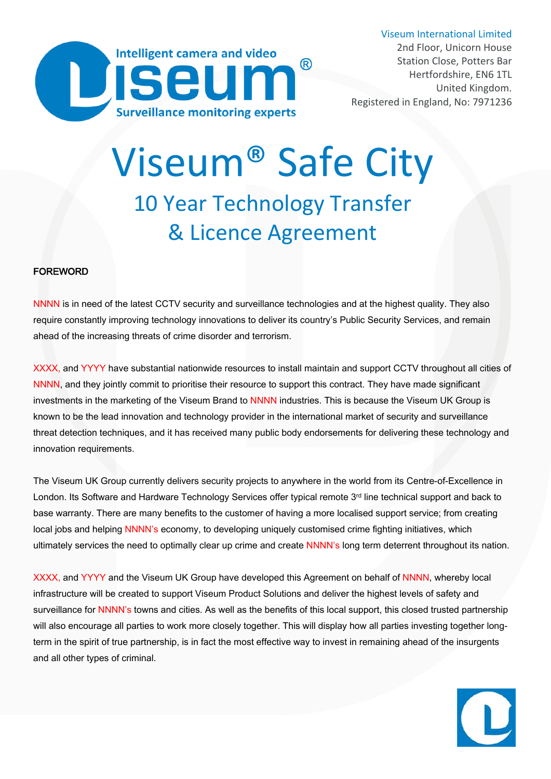

Registered in England, No: 7971236

# Viseum® [Safe City](https://www.viseum.co.uk/projects/safe-city/)10 Year Technology Transfer & Licence Agreement

#### FOREWORD

NNNN is in need of the latest CCTV security and surveillance technologies and at the highest quality. They also require constantly improving technology innovations to deliver its country's Public Security Services, and remain ahead of the increasing threats of crime disorder and terrorism.

XXXX, and YYYY have substantial nationwide resources to install maintain and support CCTV throughout all cities of NNNN, and they jointly commit to prioritise their resource to support this contract. They have made significant investments in the marketing of the Viseum Brand to NNNN industries. This is because the Viseum UK Group is known to be the lead innovation and technology provider in the international market of security and surveillance threat detection techniques, and it has received many public body endorsements for delivering these technology and innovation requirements.

The Viseum UK Group currently delivers security projects to anywhere in the world from its Centre-of-Excellence in London. Its Software and Hardware Technology Services offer typical remote 3<sup>rd</sup> line technical support and back to base warranty. There are many benefits to the customer of having a more localised support service; from creating local jobs and helping NNNN's economy, to developing uniquely customised crime fighting initiatives, which ultimately services the need to optimally clear up crime and create NNNN's long term deterrent throughout its nation.

XXXX, and YYYY and the Viseum UK Group have developed this Agreement on behalf of NNNN, whereby local infrastructure will be created to support Viseum Product Solutions and deliver the highest levels of safety and surveillance for NNNN's towns and cities. As well as the benefits of this local support, this closed trusted partnership will also encourage all parties to work more closely together. This will display how all parties investing together longterm in the spirit of true partnership, is in fact the most effective way to invest in remaining ahead of the insurgents and all other types of criminal.

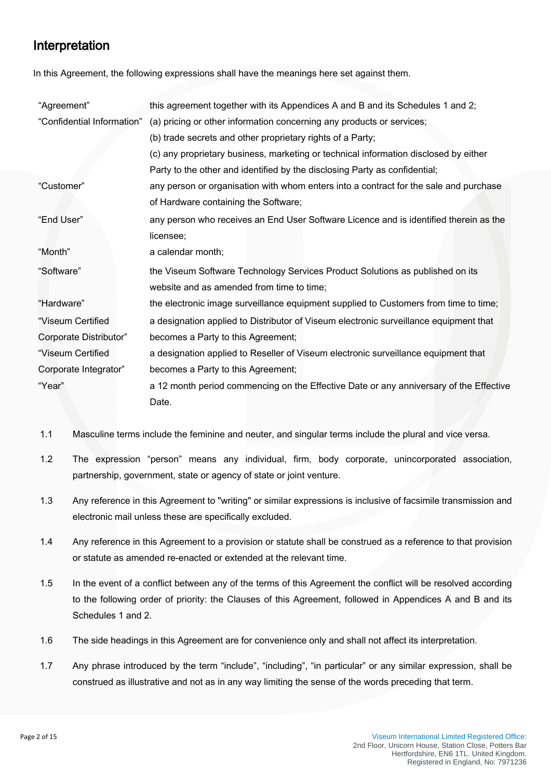# Interpretation

In this Agreement, the following expressions shall have the meanings here set against them.

| "Agreement"                | this agreement together with its Appendices A and B and its Schedules 1 and 2;         |  |  |
|----------------------------|----------------------------------------------------------------------------------------|--|--|
| "Confidential Information" | (a) pricing or other information concerning any products or services;                  |  |  |
|                            | (b) trade secrets and other proprietary rights of a Party;                             |  |  |
|                            | (c) any proprietary business, marketing or technical information disclosed by either   |  |  |
|                            | Party to the other and identified by the disclosing Party as confidential;             |  |  |
| "Customer"                 | any person or organisation with whom enters into a contract for the sale and purchase  |  |  |
|                            | of Hardware containing the Software;                                                   |  |  |
| "End User"                 | any person who receives an End User Software Licence and is identified therein as the  |  |  |
|                            | licensee;                                                                              |  |  |
| "Month"                    | a calendar month;                                                                      |  |  |
| "Software"                 | the Viseum Software Technology Services Product Solutions as published on its          |  |  |
|                            | website and as amended from time to time;                                              |  |  |
| "Hardware"                 | the electronic image surveillance equipment supplied to Customers from time to time;   |  |  |
| "Viseum Certified          | a designation applied to Distributor of Viseum electronic surveillance equipment that  |  |  |
| Corporate Distributor"     | becomes a Party to this Agreement;                                                     |  |  |
| "Viseum Certified          | a designation applied to Reseller of Viseum electronic surveillance equipment that     |  |  |
| Corporate Integrator"      | becomes a Party to this Agreement;                                                     |  |  |
| "Year"                     | a 12 month period commencing on the Effective Date or any anniversary of the Effective |  |  |
|                            | Date.                                                                                  |  |  |

- 1.1 Masculine terms include the feminine and neuter, and singular terms include the plural and vice versa.
- 1.2 The expression "person" means any individual, firm, body corporate, unincorporated association, partnership, government, state or agency of state or joint venture.
- 1.3 Any reference in this Agreement to "writing" or similar expressions is inclusive of facsimile transmission and electronic mail unless these are specifically excluded.
- 1.4 Any reference in this Agreement to a provision or statute shall be construed as a reference to that provision or statute as amended re-enacted or extended at the relevant time.
- 1.5 In the event of a conflict between any of the terms of this Agreement the conflict will be resolved according to the following order of priority: the Clauses of this Agreement, followed in Appendices A and B and its Schedules 1 and 2.
- 1.6 The side headings in this Agreement are for convenience only and shall not affect its interpretation.
- 1.7 Any phrase introduced by the term "include", "including", "in particular" or any similar expression, shall be construed as illustrative and not as in any way limiting the sense of the words preceding that term.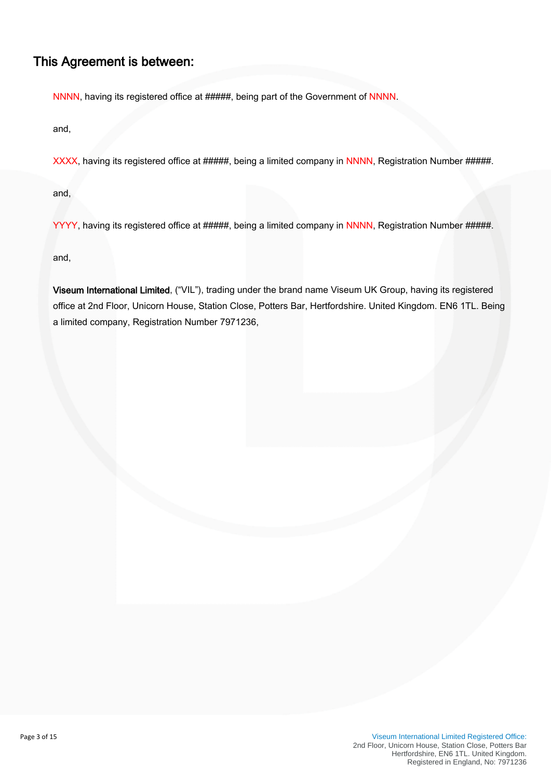#### This Agreement is between:

NNNN, having its registered office at #####, being part of the Government of NNNN.

and,

XXXX, having its registered office at #####, being a limited company in NNNN, Registration Number #####.

and,

YYYY, having its registered office at #####, being a limited company in NNNN, Registration Number #####.

and,

Viseum International Limited, ("VIL"), trading under the brand name Viseum UK Group, having its registered office at 2nd Floor, Unicorn House, Station Close, Potters Bar, Hertfordshire. United Kingdom. EN6 1TL. Being a limited company, Registration Number 7971236,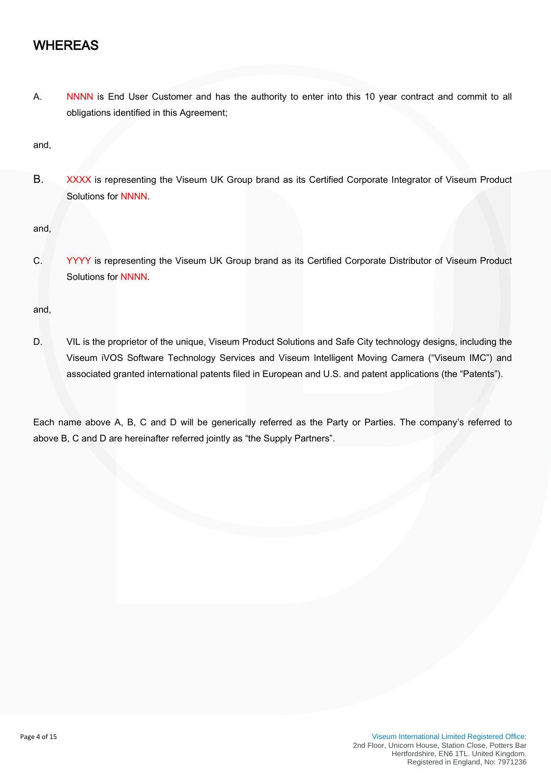### WHEREAS

A. NNNN is End User Customer and has the authority to enter into this 10 year contract and commit to all obligations identified in this Agreement;

and,

B. XXXX is representing the Viseum UK Group brand as its Certified Corporate Integrator of Viseum Product Solutions for NNNN.

and,

C. YYYY is representing the Viseum UK Group brand as its Certified Corporate Distributor of Viseum Product Solutions for NNNN.

and,

D. VIL is the proprietor of the unique, Viseum Product Solutions and Safe City technology designs, including the Viseum iVOS Software Technology Services and Viseum Intelligent Moving Camera ("Viseum IMC") and associated granted international patents filed in European and U.S. and patent applications (the "Patents").

Each name above A, B, C and D will be generically referred as the Party or Parties. The company's referred to above B, C and D are hereinafter referred jointly as "the Supply Partners".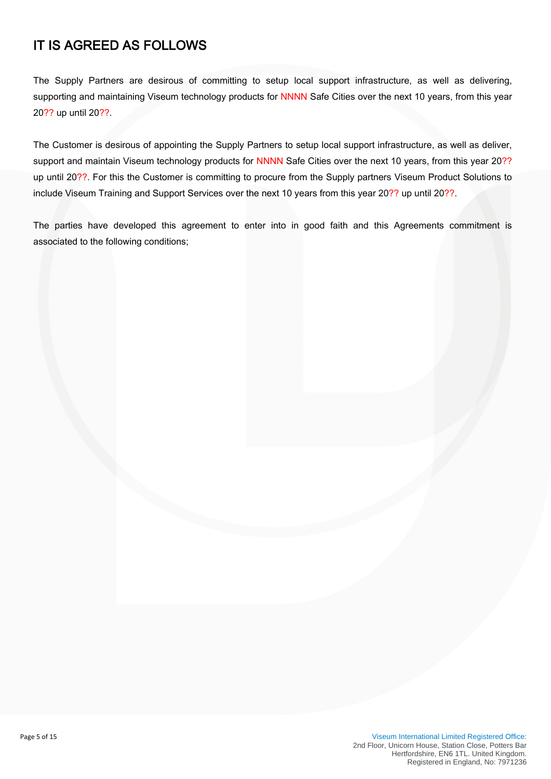# IT IS AGREED AS FOLLOWS

The Supply Partners are desirous of committing to setup local support infrastructure, as well as delivering, supporting and maintaining Viseum technology products for NNNN Safe Cities over the next 10 years, from this year 20?? up until 20??.

The Customer is desirous of appointing the Supply Partners to setup local support infrastructure, as well as deliver, support and maintain Viseum technology products for NNNN Safe Cities over the next 10 years, from this year 20?? up until 20??. For this the Customer is committing to procure from the Supply partners Viseum Product Solutions to include Viseum Training and Support Services over the next 10 years from this year 20?? up until 20??.

The parties have developed this agreement to enter into in good faith and this Agreements commitment is associated to the following conditions;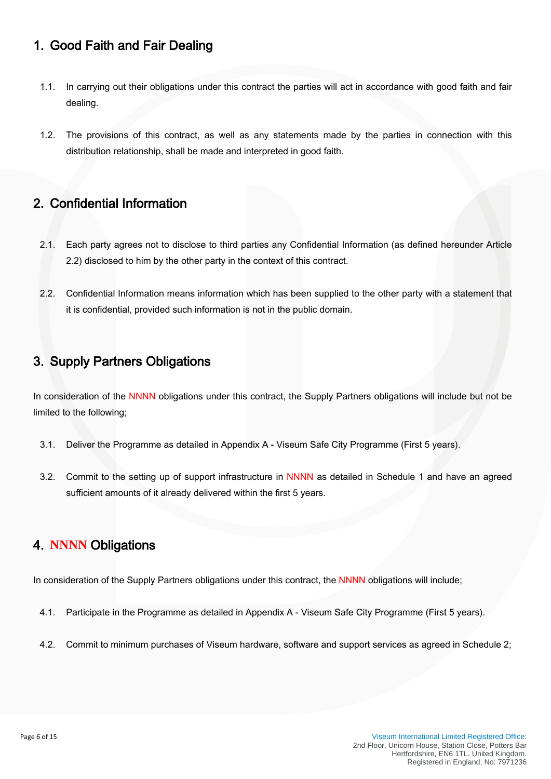### 1. Good Faith and Fair Dealing

- 1.1. In carrying out their obligations under this contract the parties will act in accordance with good faith and fair dealing.
- 1.2. The provisions of this contract, as well as any statements made by the parties in connection with this distribution relationship, shall be made and interpreted in good faith.

#### 2. Confidential Information

- 2.1. Each party agrees not to disclose to third parties any Confidential Information (as defined hereunder Article 2.2) disclosed to him by the other party in the context of this contract.
- 2.2. Confidential Information means information which has been supplied to the other party with a statement that it is confidential, provided such information is not in the public domain.

# 3. Supply Partners Obligations

In consideration of the NNNN obligations under this contract, the Supply Partners obligations will include but not be limited to the following;

- 3.1. Deliver the Programme as detailed in Appendix A - [Viseum Safe City](http://www.viseum.co.uk/featured-projects/safe-cities/) Programme (First 5 years).
- 3.2. Commit to the setting up of support infrastructure in NNNN as detailed in Schedule 1 and have an agreed sufficient amounts of it already delivered within the first 5 years.

### 4. **NNNN** Obligations

In consideration of the Supply Partners obligations under this contract, the NNNN obligations will include;

- 4.1. Participate in the Programme as detailed in Appendix A - [Viseum Safe City](http://www.viseum.co.uk/featured-projects/safe-cities/) Programme (First 5 years).
- 4.2. Commit to minimum purchases of Viseum hardware, software and support services as agreed in Schedule 2;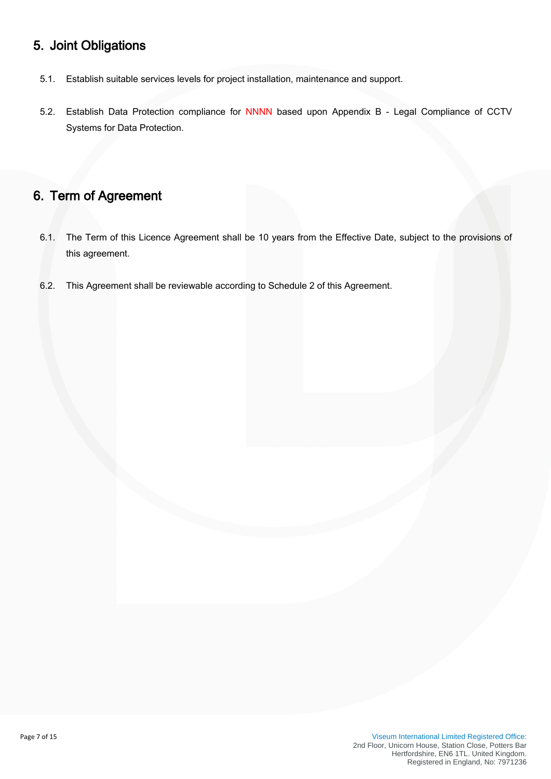## 5. Joint Obligations

- 5.1. Establish suitable services levels for project installation, maintenance and support.
- 5.2. Establish Data Protection compliance for NNNN based upon Appendix B Legal Compliance of CCTV Systems for Data Protection.

## 6. Term of Agreement

- 6.1. The Term of this Licence Agreement shall be 10 years from the Effective Date, subject to the provisions of this agreement.
- 6.2. This Agreement shall be reviewable according to Schedule 2 of this Agreement.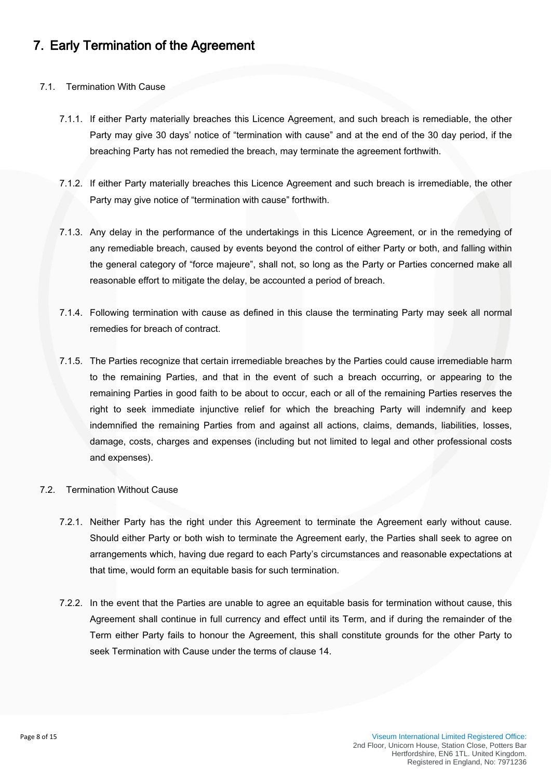## 7. Early Termination of the Agreement

#### 7.1. Termination With Cause

- 7.1.1. If either Party materially breaches this Licence Agreement, and such breach is remediable, the other Party may give 30 days' notice of "termination with cause" and at the end of the 30 day period, if the breaching Party has not remedied the breach, may terminate the agreement forthwith.
- 7.1.2. If either Party materially breaches this Licence Agreement and such breach is irremediable, the other Party may give notice of "termination with cause" forthwith.
- 7.1.3. Any delay in the performance of the undertakings in this Licence Agreement, or in the remedying of any remediable breach, caused by events beyond the control of either Party or both, and falling within the general category of "force majeure", shall not, so long as the Party or Parties concerned make all reasonable effort to mitigate the delay, be accounted a period of breach.
- 7.1.4. Following termination with cause as defined in this clause the terminating Party may seek all normal remedies for breach of contract.
- 7.1.5. The Parties recognize that certain irremediable breaches by the Parties could cause irremediable harm to the remaining Parties, and that in the event of such a breach occurring, or appearing to the remaining Parties in good faith to be about to occur, each or all of the remaining Parties reserves the right to seek immediate injunctive relief for which the breaching Party will indemnify and keep indemnified the remaining Parties from and against all actions, claims, demands, liabilities, losses, damage, costs, charges and expenses (including but not limited to legal and other professional costs and expenses).

#### 7.2. Termination Without Cause

- 7.2.1. Neither Party has the right under this Agreement to terminate the Agreement early without cause. Should either Party or both wish to terminate the Agreement early, the Parties shall seek to agree on arrangements which, having due regard to each Party's circumstances and reasonable expectations at that time, would form an equitable basis for such termination.
- 7.2.2. In the event that the Parties are unable to agree an equitable basis for termination without cause, this Agreement shall continue in full currency and effect until its Term, and if during the remainder of the Term either Party fails to honour the Agreement, this shall constitute grounds for the other Party to seek Termination with Cause under the terms of clause 14.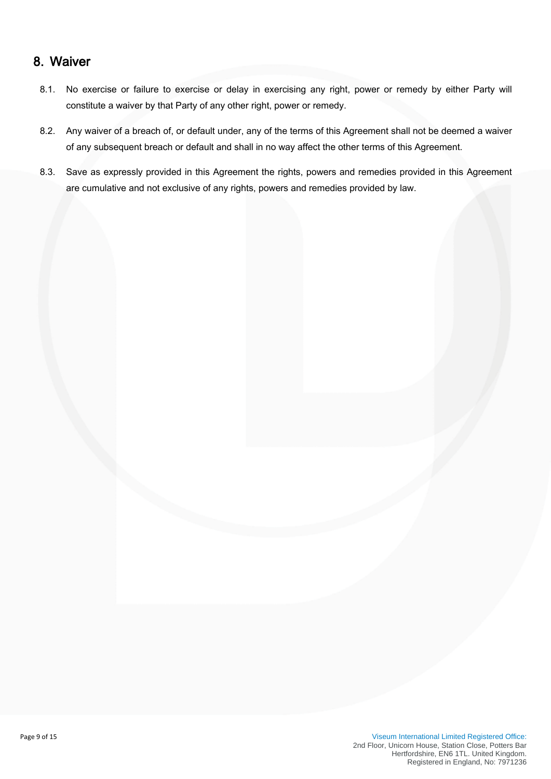#### 8. Waiver

- 8.1. No exercise or failure to exercise or delay in exercising any right, power or remedy by either Party will constitute a waiver by that Party of any other right, power or remedy.
- 8.2. Any waiver of a breach of, or default under, any of the terms of this Agreement shall not be deemed a waiver of any subsequent breach or default and shall in no way affect the other terms of this Agreement.
- 8.3. Save as expressly provided in this Agreement the rights, powers and remedies provided in this Agreement are cumulative and not exclusive of any rights, powers and remedies provided by law.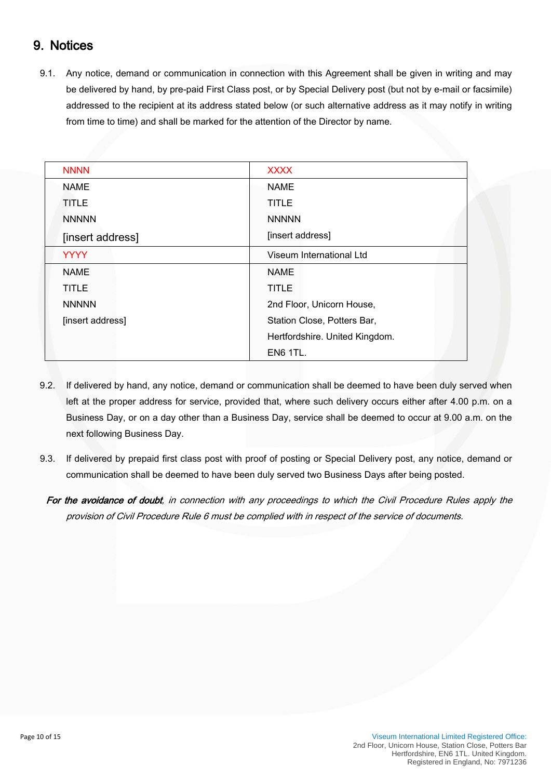## 9. Notices

9.1. Any notice, demand or communication in connection with this Agreement shall be given in writing and may be delivered by hand, by pre-paid First Class post, or by Special Delivery post (but not by e-mail or facsimile) addressed to the recipient at its address stated below (or such alternative address as it may notify in writing from time to time) and shall be marked for the attention of the Director by name.

| <b>NNNN</b>      | <b>XXXX</b>                    |  |
|------------------|--------------------------------|--|
| <b>NAME</b>      | <b>NAME</b>                    |  |
| <b>TITLE</b>     | <b>TITLE</b>                   |  |
| <b>NNNNN</b>     | <b>NNNNN</b>                   |  |
| [insert address] | [insert address]               |  |
| <b>YYYY</b>      | Viseum International Ltd       |  |
| <b>NAME</b>      | <b>NAME</b>                    |  |
| <b>TITLE</b>     | <b>TITLE</b>                   |  |
| <b>NNNNN</b>     | 2nd Floor, Unicorn House,      |  |
| [insert address] | Station Close, Potters Bar,    |  |
|                  | Hertfordshire. United Kingdom. |  |
|                  | <b>EN6 1TL.</b>                |  |

- 9.2. If delivered by hand, any notice, demand or communication shall be deemed to have been duly served when left at the proper address for service, provided that, where such delivery occurs either after 4.00 p.m. on a Business Day, or on a day other than a Business Day, service shall be deemed to occur at 9.00 a.m. on the next following Business Day.
- 9.3. If delivered by prepaid first class post with proof of posting or Special Delivery post, any notice, demand or communication shall be deemed to have been duly served two Business Days after being posted.
	- For the avoidance of doubt, in connection with any proceedings to which the Civil Procedure Rules apply the provision of Civil Procedure Rule 6 must be complied with in respect of the service of documents.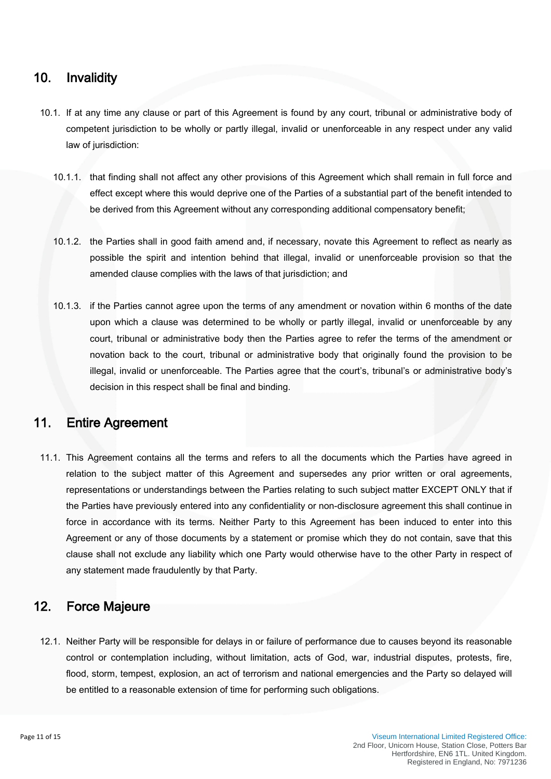#### 10. Invalidity

- 10.1. If at any time any clause or part of this Agreement is found by any court, tribunal or administrative body of competent jurisdiction to be wholly or partly illegal, invalid or unenforceable in any respect under any valid law of jurisdiction:
	- 10.1.1. that finding shall not affect any other provisions of this Agreement which shall remain in full force and effect except where this would deprive one of the Parties of a substantial part of the benefit intended to be derived from this Agreement without any corresponding additional compensatory benefit;
	- 10.1.2. the Parties shall in good faith amend and, if necessary, novate this Agreement to reflect as nearly as possible the spirit and intention behind that illegal, invalid or unenforceable provision so that the amended clause complies with the laws of that jurisdiction; and
	- 10.1.3. if the Parties cannot agree upon the terms of any amendment or novation within 6 months of the date upon which a clause was determined to be wholly or partly illegal, invalid or unenforceable by any court, tribunal or administrative body then the Parties agree to refer the terms of the amendment or novation back to the court, tribunal or administrative body that originally found the provision to be illegal, invalid or unenforceable. The Parties agree that the court's, tribunal's or administrative body's decision in this respect shall be final and binding.

#### 11. Entire Agreement

11.1. This Agreement contains all the terms and refers to all the documents which the Parties have agreed in relation to the subject matter of this Agreement and supersedes any prior written or oral agreements, representations or understandings between the Parties relating to such subject matter EXCEPT ONLY that if the Parties have previously entered into any confidentiality or non-disclosure agreement this shall continue in force in accordance with its terms. Neither Party to this Agreement has been induced to enter into this Agreement or any of those documents by a statement or promise which they do not contain, save that this clause shall not exclude any liability which one Party would otherwise have to the other Party in respect of any statement made fraudulently by that Party.

### 12. Force Majeure

12.1. Neither Party will be responsible for delays in or failure of performance due to causes beyond its reasonable control or contemplation including, without limitation, acts of God, war, industrial disputes, protests, fire, flood, storm, tempest, explosion, an act of terrorism and national emergencies and the Party so delayed will be entitled to a reasonable extension of time for performing such obligations.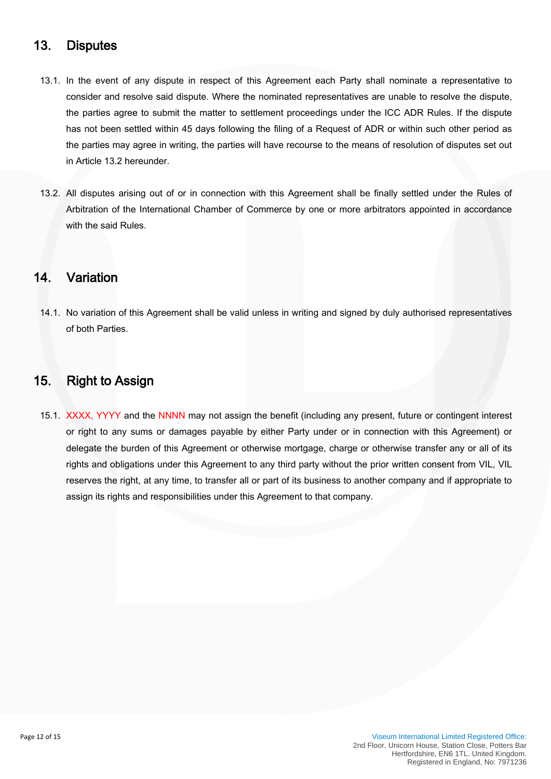#### 13. Disputes

- 13.1. In the event of any dispute in respect of this Agreement each Party shall nominate a representative to consider and resolve said dispute. Where the nominated representatives are unable to resolve the dispute, the parties agree to submit the matter to settlement proceedings under the ICC ADR Rules. If the dispute has not been settled within 45 days following the filing of a Request of ADR or within such other period as the parties may agree in writing, the parties will have recourse to the means of resolution of disputes set out in Article 13.2 hereunder.
- 13.2. All disputes arising out of or in connection with this Agreement shall be finally settled under the Rules of Arbitration of the International Chamber of Commerce by one or more arbitrators appointed in accordance with the said Rules.

#### 14. Variation

14.1. No variation of this Agreement shall be valid unless in writing and signed by duly authorised representatives of both Parties.

#### 15. Right to Assign

15.1. XXXX, YYYY and the NNNN may not assign the benefit (including any present, future or contingent interest or right to any sums or damages payable by either Party under or in connection with this Agreement) or delegate the burden of this Agreement or otherwise mortgage, charge or otherwise transfer any or all of its rights and obligations under this Agreement to any third party without the prior written consent from VIL, VIL reserves the right, at any time, to transfer all or part of its business to another company and if appropriate to assign its rights and responsibilities under this Agreement to that company.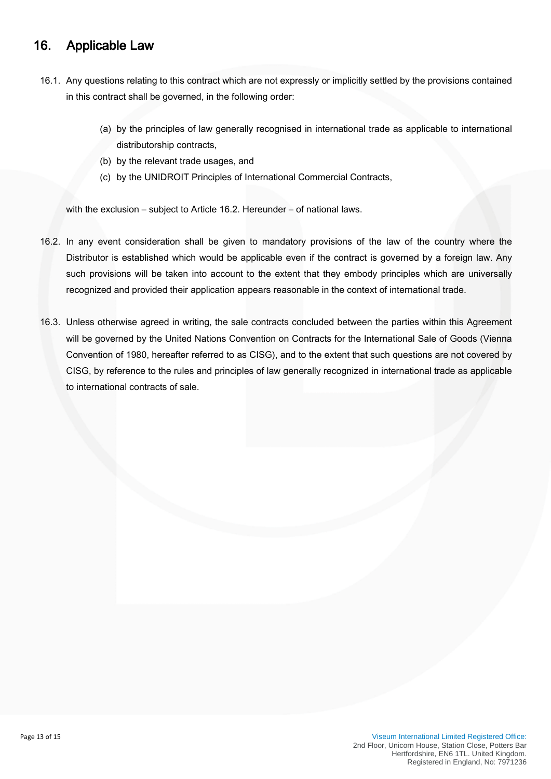### 16. Applicable Law

- 16.1. Any questions relating to this contract which are not expressly or implicitly settled by the provisions contained in this contract shall be governed, in the following order:
	- (a) by the principles of law generally recognised in international trade as applicable to international distributorship contracts,
	- (b) by the relevant trade usages, and
	- (c) by the UNIDROIT Principles of International Commercial Contracts,

with the exclusion – subject to Article 16.2. Hereunder – of national laws.

- 16.2. In any event consideration shall be given to mandatory provisions of the law of the country where the Distributor is established which would be applicable even if the contract is governed by a foreign law. Any such provisions will be taken into account to the extent that they embody principles which are universally recognized and provided their application appears reasonable in the context of international trade.
- 16.3. Unless otherwise agreed in writing, the sale contracts concluded between the parties within this Agreement will be governed by the United Nations Convention on Contracts for the International Sale of Goods (Vienna Convention of 1980, hereafter referred to as CISG), and to the extent that such questions are not covered by CISG, by reference to the rules and principles of law generally recognized in international trade as applicable to international contracts of sale.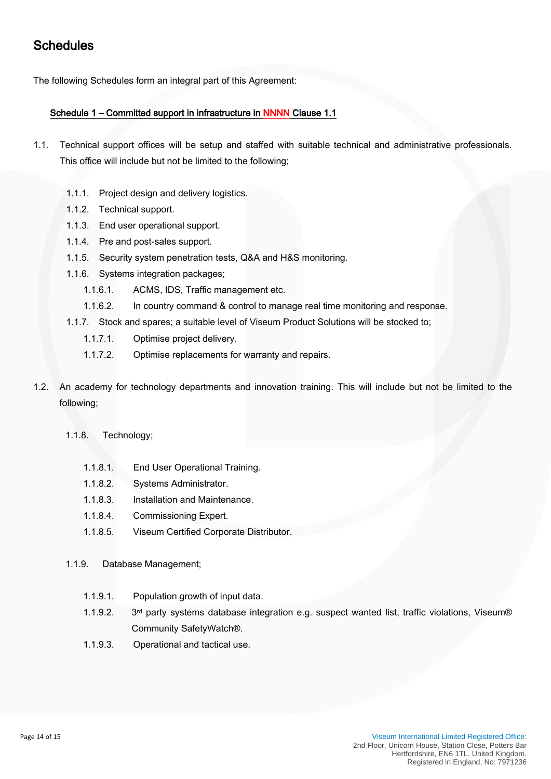# **Schedules**

The following Schedules form an integral part of this Agreement:

#### Schedule 1 – Committed support in infrastructure in NNNN Clause 1.1

- 1.1. Technical support offices will be setup and staffed with suitable technical and administrative professionals. This office will include but not be limited to the following;
	- 1.1.1. Project design and delivery logistics.
	- 1.1.2. Technical support.
	- 1.1.3. End user operational support.
	- 1.1.4. Pre and post-sales support.
	- 1.1.5. Security system penetration tests, Q&A and H&S monitoring.
	- 1.1.6. Systems integration packages;
		- 1.1.6.1. ACMS, IDS, Traffic management etc.
		- 1.1.6.2. In country command & control to manage real time monitoring and response.
	- 1.1.7. Stock and spares; a suitable level of Viseum Product Solutions will be stocked to;
		- 1.1.7.1. Optimise project delivery.
		- 1.1.7.2. Optimise replacements for warranty and repairs.
- 1.2. An academy for technology departments and innovation training. This will include but not be limited to the following;
	- 1.1.8. Technology;
		- 1.1.8.1. End User Operational Training.
		- 1.1.8.2. Systems Administrator.
		- 1.1.8.3. Installation and Maintenance.
		- 1.1.8.4. Commissioning Expert.
		- 1.1.8.5. Viseum Certified Corporate Distributor.
	- 1.1.9. Database Management;
		- 1.1.9.1. Population growth of input data.
		- 1.1.9.2. 3<sup>rd</sup> party systems database integration e.g. suspect wanted list, traffic violations, Viseum® Community SafetyWatch®.
		- 1.1.9.3. Operational and tactical use.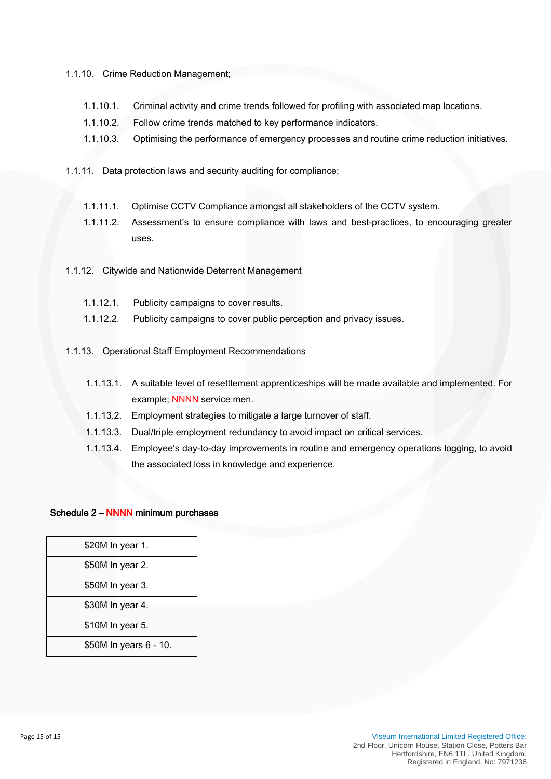#### 1.1.10. Crime Reduction Management;

- 1.1.10.1. Criminal activity and crime trends followed for profiling with associated map locations.
- 1.1.10.2. Follow crime trends matched to key performance indicators.
- 1.1.10.3. Optimising the performance of emergency processes and routine crime reduction initiatives.
- 1.1.11. Data protection laws and security auditing for compliance;
	- 1.1.11.1. Optimise CCTV Compliance amongst all stakeholders of the CCTV system.
	- 1.1.11.2. Assessment's to ensure compliance with laws and best-practices, to encouraging greater uses.
- 1.1.12. Citywide and Nationwide Deterrent Management
	- 1.1.12.1. Publicity campaigns to cover results.
	- 1.1.12.2. Publicity campaigns to cover public perception and privacy issues.
- 1.1.13. Operational Staff Employment Recommendations
	- 1.1.13.1. A suitable level of resettlement apprenticeships will be made available and implemented. For example; NNNN service men.
	- 1.1.13.2. Employment strategies to mitigate a large turnover of staff.
	- 1.1.13.3. Dual/triple employment redundancy to avoid impact on critical services.
	- 1.1.13.4. Employee's day-to-day improvements in routine and emergency operations logging, to avoid the associated loss in knowledge and experience.

#### Schedule 2 – NNNN minimum purchases

| \$20M In year 1.<br>\$50M In year 2.<br>\$50M In year 3.<br>\$30M In year 4.<br>\$10M In year 5.<br>\$50M In years 6 - 10. |  |
|----------------------------------------------------------------------------------------------------------------------------|--|
|                                                                                                                            |  |
|                                                                                                                            |  |
|                                                                                                                            |  |
|                                                                                                                            |  |
|                                                                                                                            |  |
|                                                                                                                            |  |